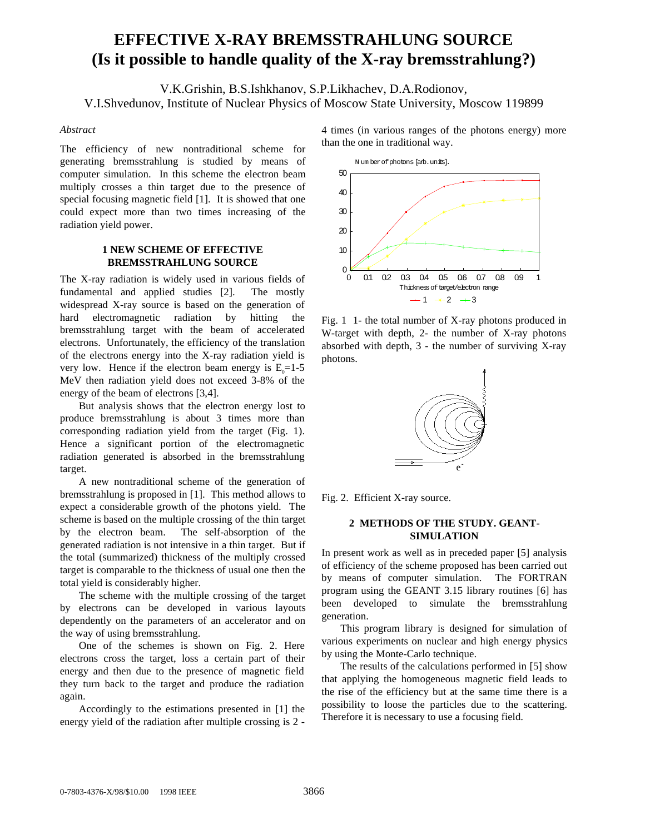# **EFFECTIVE X-RAY BREMSSTRAHLUNG SOURCE (Is it possible to handle quality of the X-ray bremsstrahlung?)**

V.K.Grishin, B.S.Ishkhanov, S.P.Likhachev, D.A.Rodionov, V.I.Shvedunov, Institute of Nuclear Physics of Moscow State University, Moscow 119899

#### *Abstract*

The efficiency of new nontraditional scheme for generating bremsstrahlung is studied by means of computer simulation. In this scheme the electron beam multiply crosses a thin target due to the presence of special focusing magnetic field [1]. It is showed that one could expect more than two times increasing of the radiation yield power.

## **1 NEW SCHEME OF EFFECTIVE BREMSSTRAHLUNG SOURCE**

The X-ray radiation is widely used in various fields of fundamental and applied studies [2]. The mostly widespread X-ray source is based on the generation of hard electromagnetic radiation by hitting the bremsstrahlung target with the beam of accelerated electrons. Unfortunately, the efficiency of the translation of the electrons energy into the X-ray radiation yield is very low. Hence if the electron beam energy is  $E_0 = 1-5$ MeV then radiation yield does not exceed 3-8% of the energy of the beam of electrons [3,4].

But analysis shows that the electron energy lost to produce bremsstrahlung is about 3 times more than corresponding radiation yield from the target (Fig. 1). Hence a significant portion of the electromagnetic radiation generated is absorbed in the bremsstrahlung target.

A new nontraditional scheme of the generation of bremsstrahlung is proposed in [1]. This method allows to expect a considerable growth of the photons yield. The scheme is based on the multiple crossing of the thin target by the electron beam. The self-absorption of the generated radiation is not intensive in a thin target. But if the total (summarized) thickness of the multiply crossed target is comparable to the thickness of usual one then the total yield is considerably higher.

The scheme with the multiple crossing of the target by electrons can be developed in various layouts dependently on the parameters of an accelerator and on the way of using bremsstrahlung.

One of the schemes is shown on Fig. 2. Here electrons cross the target, loss a certain part of their energy and then due to the presence of magnetic field they turn back to the target and produce the radiation again.

Accordingly to the estimations presented in [1] the energy yield of the radiation after multiple crossing is 2 - 4 times (in various ranges of the photons energy) more than the one in traditional way.



Fig. 1 1- the total number of X-ray photons produced in W-target with depth, 2- the number of X-ray photons absorbed with depth, 3 - the number of surviving X-ray photons.



Fig. 2. Efficient X-ray source.

### **2 METHODS OF THE STUDY. GEANT-SIMULATION**

In present work as well as in preceded paper [5] analysis of efficiency of the scheme proposed has been carried out by means of computer simulation. The FORTRAN program using the GEANT 3.15 library routines [6] has been developed to simulate the bremsstrahlung generation.

This program library is designed for simulation of various experiments on nuclear and high energy physics by using the Monte-Carlo technique.

The results of the calculations performed in [5] show that applying the homogeneous magnetic field leads to the rise of the efficiency but at the same time there is a possibility to loose the particles due to the scattering. Therefore it is necessary to use a focusing field.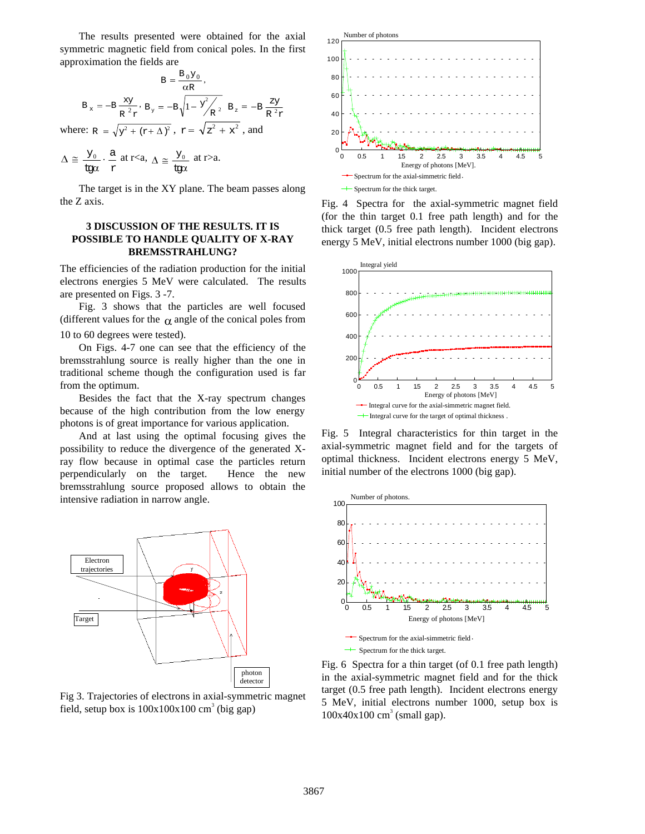The results presented were obtained for the axial symmetric magnetic field from conical poles. In the first approximation the fields are

$$
B = \frac{B_0 Y_0}{\alpha R},
$$
  
\n
$$
B_x = -B \frac{xy}{R^2 r}, B_y = -B \sqrt{1 - \frac{y^2}{R^2}} B_z = -B \frac{zy}{R^2 r}
$$
  
\nwhere:  $R = \sqrt{y^2 + (r + \Delta)^2}, r = \sqrt{z^2 + x^2},$  and

$$
\Delta \,\cong\, \frac{y_0}{\mathsf{t}\mathrm{g}\alpha} \cdot \frac{\mathsf{a}}{\mathsf{r}} \;\mathsf{at} \;\mathsf{r} {<} \mathsf{a},\; \Delta \,\cong\, \frac{y_0}{\mathsf{t}\mathrm{g}\alpha} \;\mathsf{at} \;\mathsf{r} {>} \mathsf{a}.
$$

The target is in the XY plane. The beam passes along the Z axis.

## **3 DISCUSSION OF THE RESULTS. IT IS POSSIBLE TO HANDLE QUALITY OF X-RAY BREMSSTRAHLUNG?**

The efficiencies of the radiation production for the initial electrons energies 5 MeV were calculated. The results are presented on Figs. 3 -7.

Fig. 3 shows that the particles are well focused (different values for the  $\alpha$  angle of the conical poles from 10 to 60 degrees were tested).

On Figs. 4-7 one can see that the efficiency of the bremsstrahlung source is really higher than the one in traditional scheme though the configuration used is far from the optimum.

Besides the fact that the X-ray spectrum changes because of the high contribution from the low energy photons is of great importance for various application.

And at last using the optimal focusing gives the possibility to reduce the divergence of the generated Xray flow because in optimal case the particles return perpendicularly on the target. Hence the new bremsstrahlung source proposed allows to obtain the intensive radiation in narrow angle.



Fig 3. Trajectories of electrons in axial-symmetric magnet field, setup box is  $100x100x100$  cm<sup>3</sup> (big gap)



Fig. 4 Spectra for the axial-symmetric magnet field (for the thin target 0.1 free path length) and for the thick target (0.5 free path length). Incident electrons energy 5 MeV, initial electrons number 1000 (big gap).



Fig. 5 Integral characteristics for thin target in the axial-symmetric magnet field and for the targets of optimal thickness. Incident electrons energy 5 MeV, initial number of the electrons 1000 (big gap).



Fig. 6 Spectra for a thin target (of 0.1 free path length) in the axial-symmetric magnet field and for the thick target (0.5 free path length). Incident electrons energy 5 MeV, initial electrons number 1000, setup box is  $100x40x100$  cm<sup>3</sup> (small gap).